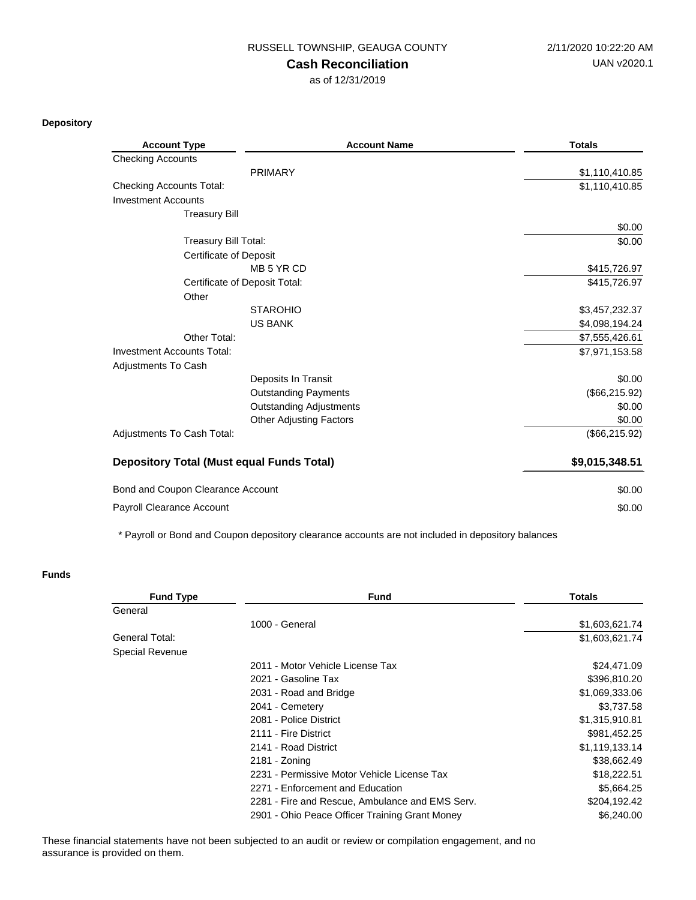RUSSELL TOWNSHIP, GEAUGA COUNTY 2/11/2020 10:22:20 AM

## **Cash Reconciliation**

as of 12/31/2019

**Depository**

| <b>Account Type</b>                              | <b>Account Name</b>            | <b>Totals</b>  |
|--------------------------------------------------|--------------------------------|----------------|
| <b>Checking Accounts</b>                         |                                |                |
|                                                  | <b>PRIMARY</b>                 | \$1,110,410.85 |
| <b>Checking Accounts Total:</b>                  |                                | \$1,110,410.85 |
| <b>Investment Accounts</b>                       |                                |                |
| <b>Treasury Bill</b>                             |                                |                |
|                                                  |                                | \$0.00         |
| <b>Treasury Bill Total:</b>                      |                                | \$0.00         |
| <b>Certificate of Deposit</b>                    |                                |                |
|                                                  | MB 5 YR CD                     | \$415,726.97   |
|                                                  | Certificate of Deposit Total:  | \$415,726.97   |
| Other                                            |                                |                |
|                                                  | <b>STAROHIO</b>                | \$3,457,232.37 |
|                                                  | <b>US BANK</b>                 | \$4,098,194.24 |
| Other Total:                                     |                                | \$7,555,426.61 |
| <b>Investment Accounts Total:</b>                |                                | \$7,971,153.58 |
| Adjustments To Cash                              |                                |                |
|                                                  | Deposits In Transit            | \$0.00         |
|                                                  | <b>Outstanding Payments</b>    | (\$66,215.92)  |
|                                                  | <b>Outstanding Adjustments</b> | \$0.00         |
|                                                  | <b>Other Adjusting Factors</b> | \$0.00         |
| Adjustments To Cash Total:                       |                                | (\$66,215.92)  |
| <b>Depository Total (Must equal Funds Total)</b> |                                | \$9,015,348.51 |
| Bond and Coupon Clearance Account                |                                | \$0.00         |
| Payroll Clearance Account                        |                                | \$0.00         |

\* Payroll or Bond and Coupon depository clearance accounts are not included in depository balances

## **Funds**

| <b>Fund Type</b>       | <b>Fund</b>                                     | <b>Totals</b>  |
|------------------------|-------------------------------------------------|----------------|
| General                |                                                 |                |
|                        | 1000 - General                                  | \$1,603,621.74 |
| General Total:         |                                                 | \$1,603,621.74 |
| <b>Special Revenue</b> |                                                 |                |
|                        | 2011 - Motor Vehicle License Tax                | \$24,471.09    |
|                        | 2021 - Gasoline Tax                             | \$396,810.20   |
|                        | 2031 - Road and Bridge                          | \$1,069,333.06 |
|                        | 2041 - Cemetery                                 | \$3,737.58     |
|                        | 2081 - Police District                          | \$1,315,910.81 |
|                        | 2111 - Fire District                            | \$981,452.25   |
|                        | 2141 - Road District                            | \$1,119,133.14 |
|                        | 2181 - Zoning                                   | \$38,662.49    |
|                        | 2231 - Permissive Motor Vehicle License Tax     | \$18,222.51    |
|                        | 2271 - Enforcement and Education                | \$5,664.25     |
|                        | 2281 - Fire and Rescue, Ambulance and EMS Serv. | \$204,192.42   |
|                        | 2901 - Ohio Peace Officer Training Grant Money  | \$6,240.00     |

These financial statements have not been subjected to an audit or review or compilation engagement, and no assurance is provided on them.